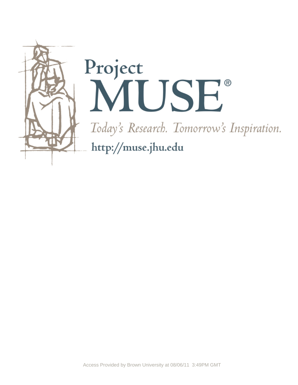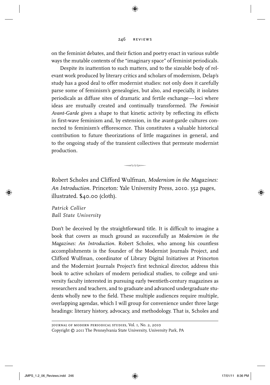on the feminist debates, and their fiction and poetry enact in various subtle ways the mutable contents of the "imaginary space" of feminist periodicals.

 Despite its inattention to such matters, and to the sizeable body of relevant work produced by literary critics and scholars of modernism, Delap's study has a good deal to offer modernist studies: not only does it carefully parse some of feminism's genealogies, but also, and especially, it isolates periodicals as diffuse sites of dramatic and fertile exchange—loci where ideas are mutually created and continually transformed. *The Feminist Avant-Garde* gives a shape to that kinetic activity by reflecting its effects in first-wave feminism and, by extension, in the avant-garde cultures connected to feminism's efflorescence. This constitutes a valuable historical contribution to future theorizations of little magazines in general, and to the ongoing study of the transient collectives that permeate modernist production.

 Robert Scholes and Clifford Wulfman, *Modernism in the Magazines: An Introduction* . Princeton: Yale University Press, 2010. 352 pages, illustrated. \$40.00 (cloth).

 $\rightarrow$  0/0/0  $\rightarrow$ 

 *Patrick Collier Ball State University*

Don't be deceived by the straightforward title. It is difficult to imagine a book that covers as much ground as successfully as *Modernism in the Magazines: An Introduction* . Robert Scholes, who among his countless accomplishments is the founder of the Modernist Journals Project, and Clifford Wulfman, coordinator of Library Digital Initiatives at Princeton and the Modernist Journals Project's first technical director, address this book to active scholars of modern periodical studies, to college and university faculty interested in pursuing early twentieth-century magazines as researchers and teachers, and to graduate and advanced undergraduate students wholly new to the field. These multiple audiences require multiple, overlapping agendas, which I will group for convenience under three large headings: literary history, advocacy, and methodology. That is, Scholes and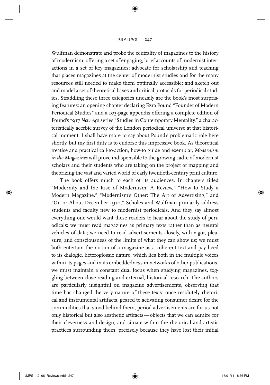Wulfman demonstrate and probe the centrality of magazines to the history of modernism, offering a set of engaging, brief accounts of modernist interactions in a set of key magazines; advocate for scholarship and teaching that places magazines at the center of modernist studies and for the many resources still needed to make them optimally accessible; and sketch out and model a set of theoretical bases and critical protocols for periodical studies. Straddling these three categories uneasily are the book's most surprising features: an opening chapter declaring Ezra Pound "Founder of Modern Periodical Studies" and a 103-page appendix offering a complete edition of Pound's 1917 *New Age* series "Studies in Contemporary Mentality," a characteristically acerbic survey of the London periodical universe at that historical moment. I shall have more to say about Pound's problematic role here shortly, but my first duty is to endorse this impressive book. As theoretical treatise and practical call-to-action, how-to guide and exemplar, *Modernism in the Magazines* will prove indispensible to the growing cadre of modernist scholars and their students who are taking on the project of mapping and theorizing the vast and varied world of early twentieth-century print culture.

 The book offers much to each of its audiences. In chapters titled "Modernity and the Rise of Modernism: A Review," "How to Study a Modern Magazine," "Modernism's Other: The Art of Advertising," and "On or About December 1910," Scholes and Wulfman primarily address students and faculty new to modernist periodicals. And they say almost everything one would want these readers to hear about the study of periodicals: we must read magazines as primary texts rather than as neutral vehicles of data; we need to read advertisements closely, with vigor, pleasure, and consciousness of the limits of what they can show us; we must both entertain the notion of a magazine as a coherent text and pay heed to its dialogic, heteroglossic nature, which lies both in the multiple voices within its pages and in its embeddedness in networks of other publications; we must maintain a constant dual focus when studying magazines, toggling between close reading and external, historical research. The authors are particularly insightful on magazine advertisements, observing that time has changed the very nature of these texts: once resolutely rhetorical and instrumental artifacts, geared to activating consumer desire for the commodities that stood behind them, period advertisements are for us not only historical but also aesthetic artifacts— objects that we can admire for their cleverness and design, and situate within the rhetorical and artistic practices surrounding them, precisely because they have lost their initial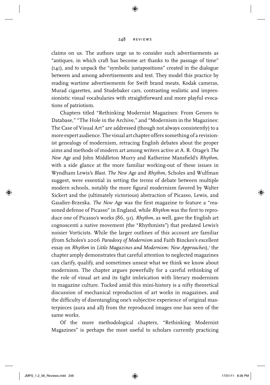claims on us. The authors urge us to consider such advertisements as "antiques, in which craft has become art thanks to the passage of time" (141), and to unpack the "symbolic juxtapositions" created in the dialogue between and among advertisements and text. They model this practice by reading wartime advertisements for Swift brand meats, Kodak cameras, Murad cigarettes, and Studebaker cars, contrasting realistic and impressionistic visual vocabularies with straightforward and more playful evocations of patriotism.

 Chapters titled "Rethinking Modernist Magazines: From Genres to Database," "The Hole in the Archive," and "Modernism in the Magazines: The Case of Visual Art" are addressed (though not always consistently) to a more expert audience. The visual art chapter offers something of a revisionist genealogy of modernism, retracing English debates about the proper aims and methods of modern art among writers active at A. R. Orage's *The New Age* and John Middleton Murry and Katherine Mansfield's *Rhythm*, with a side glance at the more familiar working-out of these issues in Wyndham Lewis's *Blast* . *The New Age* and *Rhythm* , Scholes and Wulfman suggest, were essential in setting the terms of debate between multiple modern schools, notably the more figural modernism favored by Walter Sickert and the (ultimately victorious) abstraction of Picasso, Lewis, and Gaudier-Brzeska. *The New Age* was the first magazine to feature a "reasoned defense of Picasso" in England, while *Rhythm* was the first to reproduce one of Picasso's works (86, 91). *Rhythm*, as well, gave the English art cognoscenti a native movement (the " Rhythmists") that predated Lewis's noisier Vorticists. While the larger outlines of this account are familiar (from Scholes's 2006 *Paradoxy of Modernism* and Faith Binckes's excellent essay on *Rhythm* in Little Magazines and Modernism: New Approaches),<sup>1</sup> the chapter amply demonstrates that careful attention to neglected magazines can clarify, qualify, and sometimes unseat what we think we know about modernism. The chapter argues powerfully for a careful rethinking of the role of visual art and its tight imbrication with literary modernism in magazine culture. Tucked amid this mini-history is a nifty theoretical discussion of mechanical reproduction of art works in magazines, and the difficulty of disentangling one's subjective experience of original masterpieces (aura and all) from the reproduced images one has seen of the same works.

 Of the more methodological chapters, "Rethinking Modernist Magazines" is perhaps the most useful to scholars currently practicing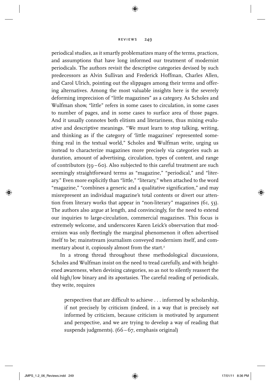periodical studies, as it smartly problematizes many of the terms, practices, and assumptions that have long informed our treatment of modernist periodicals. The authors revisit the descriptive categories devised by such predecessors as Alvin Sullivan and Frederick Hoffman, Charles Allen, and Carol Ulrich, pointing out the slippages among their terms and offering alternatives. Among the most valuable insights here is the severely deforming imprecision of "little magazines" as a category. As Scholes and Wulfman show, "little" refers in some cases to circulation, in some cases to number of pages, and in some cases to surface area of those pages. And it usually connotes both elitism and literariness, thus mixing evaluative and descriptive meanings. "We must learn to stop talking, writing, and thinking as if the category of 'little magazines' represented something real in the textual world," Scholes and Wulfman write, urging us instead to characterize magazines more precisely via categories such as duration, amount of advertising, circulation, types of content, and range of contributors (59–60). Also subjected to this careful treatment are such seemingly straightforward terms as "magazine," "periodical," and "literary." Even more explicitly than "little," "literary," when attached to the word "magazine," "combines a generic and a qualitative signification," and may misrepresent an individual magazine's total contents or divert our attention from literary works that appear in "non-literary" magazines (61, 53). The authors also argue at length, and convincingly, for the need to extend our inquiries to large-circulation, commercial magazines. This focus is extremely welcome, and underscores Karen Leick's observation that modernism was only fleetingly the marginal phenomenon it often advertised itself to be; mainstream journalism conveyed modernism itself, and commentary about it, copiously almost from the start. $2$ 

 In a strong thread throughout these methodological discussions, Scholes and Wulfman insist on the need to tread carefully, and with heightened awareness, when devising categories, so as not to silently reassert the old high/low binary and its apostasies. The careful reading of periodicals, they write, requires

perspectives that are difficult to achieve . . . informed by scholarship, if not precisely by criticism (indeed, in a way that is precisely *not* informed by criticism, because criticism is motivated by argument and perspective, and we are trying to develop a way of reading that suspends judgments). (66–67, emphasis original)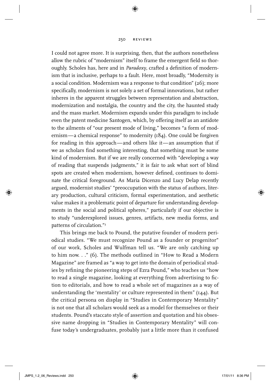I could not agree more. It is surprising, then, that the authors nonetheless allow the rubric of "modernism" itself to frame the emergent field so thoroughly. Scholes has, here and in *Paradoxy*, crafted a definition of modernism that is inclusive, perhaps to a fault. Here, most broadly, "Modernity is a social condition. Modernism was a response to that condition" (26); more specifically, modernism is not solely a set of formal innovations, but rather inheres in the apparent struggles between representation and abstraction, modernization and nostalgia, the country and the city, the haunted study and the mass market. Modernism expands under this paradigm to include even the patent medicine Santogen, which, by offering itself as an antidote to the ailments of "our present mode of living," becomes "a form of modernism—a chemical response" to modernity (184). One could be forgiven for reading in this approach—and others like it—an assumption that if we as scholars find something interesting, that something must be some kind of modernism. But if we are really concerned with "developing a way of reading that suspends judgments," it is fair to ask what sort of blind spots are created when modernism, however defined, continues to dominate the critical foreground. As Maria Dicenzo and Lucy Delap recently argued, modernist studies' "preoccupation with the status of authors, literary production, cultural criticism, formal experimentation, and aesthetic value makes it a problematic point of departure for understanding developments in the social and political spheres," particularly if our objective is to study "underexplored issues, genres, artifacts, new media forms, and patterns of circulation."3

 This brings me back to Pound, the putative founder of modern periodical studies. "We must recognize Pound as a founder or progenitor" of our work, Scholes and Wulfman tell us. "We are only catching up to him now. . ." (6). The methods outlined in "How to Read a Modern Magazine" are framed as "a way to get into the domain of periodical studies by refining the pioneering steps of Ezra Pound," who teaches us "how to read a single magazine, looking at everything from advertising to fiction to editorials, and how to read a whole set of magazines as a way of understanding the 'mentality' or culture represented in them" (144). But the critical persona on display in "Studies in Contemporary Mentality" is not one that all scholars would seek as a model for themselves or their students. Pound's staccato style of assertion and quotation and his obsessive name dropping in "Studies in Contemporary Mentality" will confuse today's undergraduates, probably just a little more than it confused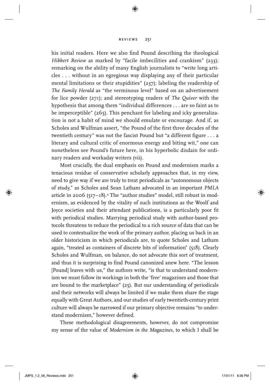his initial readers. Here we also find Pound describing the theological *Hibbert Review* as marked by "facile imbecilities and crankism" (233); remarking on the ability of many English journalists to "write long articles . . . without in an egregious way displaying any of their particular mental limitations or their stupidities" (237); labeling the readership of *The Family Herald* as "the verminous level" based on an advertisement for lice powder (271); and stereotyping readers of *The Quiver* with the hypothesis that among them "individual differences . . . are so faint as to be imperceptible" (265). This penchant for labeling and icky generalization is not a habit of mind we should emulate or encourage. And if, as Scholes and Wulfman assert, "the Pound of the first three decades of the twentieth century" was not the fascist Pound but "a different figure  $\dots$  a literary and cultural critic of enormous energy and biting wit," one can nonetheless see Pound's future here, in his hyperbolic disdain for ordinary readers and workaday writers (vii).

 Most crucially, the dual emphasis on Pound and modernism marks a tenacious residue of conservative scholarly approaches that, in my view, need to give way if we are truly to treat periodicals as "autonomous objects of study," as Scholes and Sean Latham advocated in an important *PMLA* article in 2006 (517–18).<sup>4</sup> The "author studies" model, still robust in modernism, as evidenced by the vitality of such institutions as the Woolf and Joyce societies and their attendant publications, is a particularly poor fit with periodical studies. Marrying periodical study with author-based protocols threatens to reduce the periodical to a rich source of data that can be used to contextualize the work of the primary author, placing us back in an older historicism in which periodicals are, to quote Scholes and Latham again, "treated as containers of discrete bits of information" (518). Clearly Scholes and Wulfman, on balance, do not advocate this sort of treatment, and thus it is surprising to find Pound canonized anew here. "The lesson [Pound] leaves with us," the authors write, "is that to understand modernism we must follow its workings in both the 'free' magazines and those that are bound to the marketplace" (25). But our understanding of periodicals and their networks will always be limited if we make them share the stage equally with Great Authors, and our studies of early twentieth-century print culture will always be narrowed if our primary objective remains "to understand modernism," however defined.

 These methodological disagreements, however, do not compromise my sense of the value of *Modernism in the Magazines* , to which I shall be